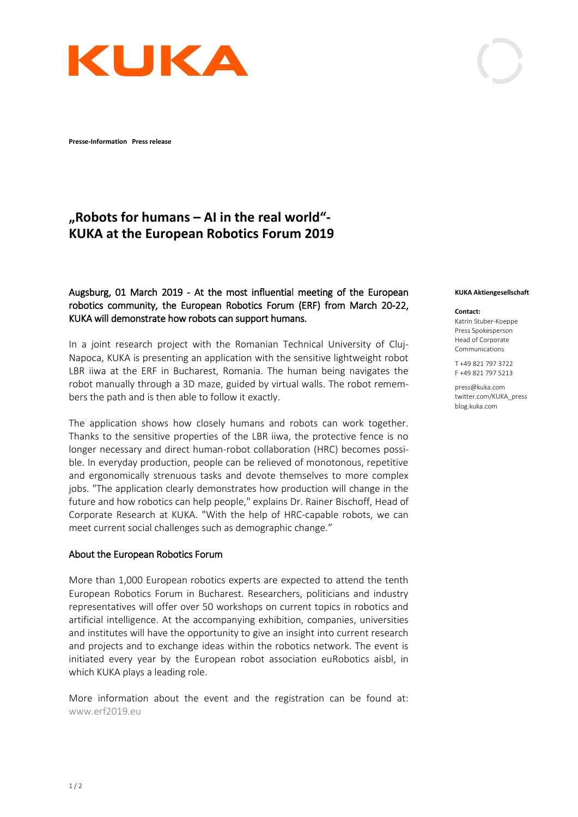

**Presse-Information Press release** 

# **"Robots for humans – AI in the real world"- KUKA at the European Robotics Forum 2019**

## Augsburg, 01 March 2019 - At the most influential meeting of the European robotics community, the European Robotics Forum (ERF) from March 20-22, KUKA will demonstrate how robots can support humans.

In a joint research project with the Romanian Technical University of Cluj-Napoca, KUKA is presenting an application with the sensitive lightweight robot LBR iiwa at the ERF in Bucharest, Romania. The human being navigates the robot manually through a 3D maze, guided by virtual walls. The robot remembers the path and is then able to follow it exactly.

The application shows how closely humans and robots can work together. Thanks to the sensitive properties of the LBR iiwa, the protective fence is no longer necessary and direct human-robot collaboration (HRC) becomes possible. In everyday production, people can be relieved of monotonous, repetitive and ergonomically strenuous tasks and devote themselves to more complex jobs. "The application clearly demonstrates how production will change in the future and how robotics can help people," explains Dr. Rainer Bischoff, Head of Corporate Research at KUKA. "With the help of HRC-capable robots, we can meet current social challenges such as demographic change."

## About the European Robotics Forum

More than 1,000 European robotics experts are expected to attend the tenth European Robotics Forum in Bucharest. Researchers, politicians and industry representatives will offer over 50 workshops on current topics in robotics and artificial intelligence. At the accompanying exhibition, companies, universities and institutes will have the opportunity to give an insight into current research and projects and to exchange ideas within the robotics network. The event is initiated every year by the European robot association euRobotics aisbl, in which KUKA plays a leading role.

More information about the event and the registration can be found at: [www.erf2019.eu](http://www.erf2019.eu/) 

#### **KUKA Aktiengesellschaft**

#### **Contact:**

Katrin Stuber-Koeppe Press Spokesperson Head of Corporate Communications

T +49 821 797 3722 F +49 821 797 5213

press@kuka.com twitter.com/KUKA\_press blog.kuka.com